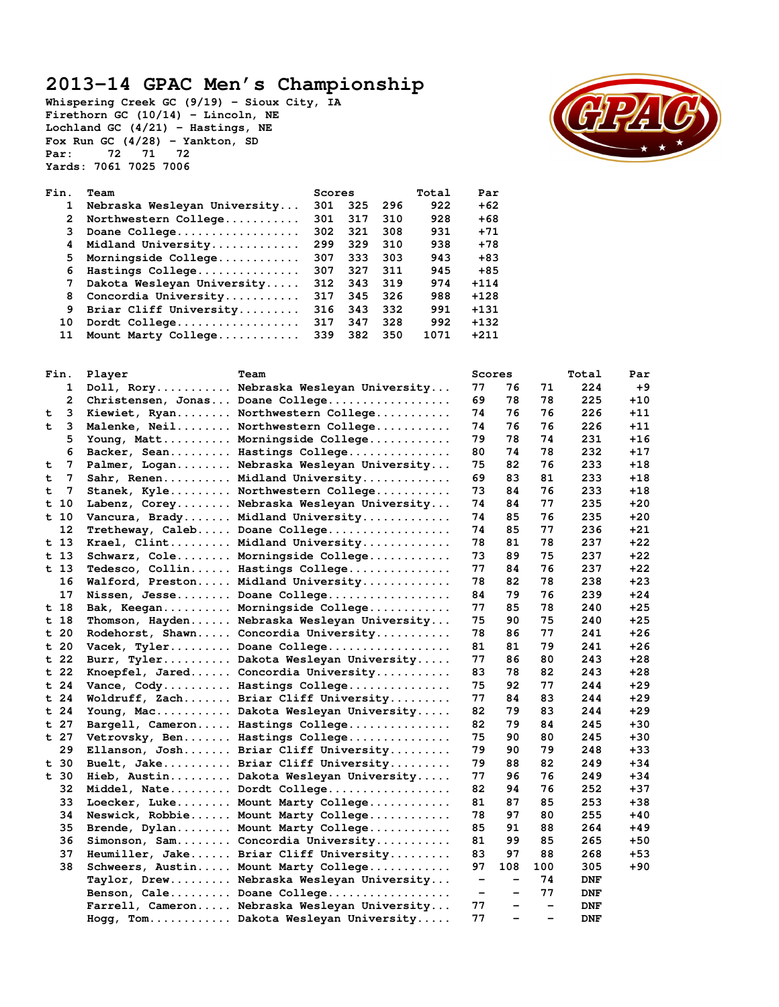## **2013-14 GPAC Men's Championship**

**Whispering Creek GC (9/19) – Sioux City, IA Firethorn GC (10/14) – Lincoln, NE Lochland GC (4/21) – Hastings, NE Fox Run GC (4/28) – Yankton, SD Par: 72 71 72 Yards: 7061 7025 7006** 



| Fin.         | Team                         |     | Scores |     | Total | Par    |
|--------------|------------------------------|-----|--------|-----|-------|--------|
| 1            | Nebraska Wesleyan University | 301 | 325    | 296 | 922   | $+62$  |
| $\mathbf{2}$ | Northwestern College         | 301 | 317    | 310 | 928   | $+68$  |
| 3            | Doane College                | 302 | 321    | 308 | 931   | $+71$  |
| 4            | Midland University           | 299 | 329    | 310 | 938   | $+78$  |
| 5.           | Morningside College          | 307 | 333    | 303 | 943   | $+83$  |
| 6            | Hastings College             | 307 | 327    | 311 | 945   | $+85$  |
| 7            | Dakota Wesleyan University   | 312 | 343    | 319 | 974   | $+114$ |
| 8            | Concordia University         | 317 | 345    | 326 | 988   | $+128$ |
| 9            | Briar Cliff University       | 316 | 343    | 332 | 991   | $+131$ |
| 10           | Dordt College                | 317 | 347    | 328 | 992   | $+132$ |
| 11           | Mount Marty College          | 339 | 382    | 350 | 1071  | $+211$ |
|              |                              |     |        |     |       |        |

|   | Fin.            | Player | Team                                          |                              | Scores                       |                          | Total      | Par   |
|---|-----------------|--------|-----------------------------------------------|------------------------------|------------------------------|--------------------------|------------|-------|
|   | 1               |        | Doll, Rory Nebraska Wesleyan University       | 77                           | 76                           | 71                       | 224        | $+9$  |
|   | 2               |        | Christensen, Jonas Doane College              | 69                           | 78                           | 78                       | 225        | +10   |
| t | 3               |        | Kiewiet, Ryan Northwestern College            | 74                           | 76                           | 76                       | 226        | +11   |
| t | 3               |        | Malenke, Neil Northwestern College            | 74                           | 76                           | 76                       | 226        | +11   |
|   | 5               |        | Young, Matt Morningside College               | 79                           | 78                           | 74                       | 231        | +16   |
|   | 6               |        | Backer, Sean Hastings College                 | 80                           | 74                           | 78                       | 232        | +17   |
| t | 7               |        | Palmer, Logan Nebraska Wesleyan University    | 75                           | 82                           | 76                       | 233        | +18   |
| t | 7               |        | Sahr, Renen Midland University                | 69                           | 83                           | 81                       | 233        | +18   |
| t | 7               |        | Stanek, Kyle Northwestern College             | 73                           | 84                           | 76                       | 233        | $+18$ |
|   | $t$ 10          |        | Labenz, Corey Nebraska Wesleyan University    | 74                           | 84                           | 77                       | 235        | +20   |
|   | t 10            |        | Vancura, Brady Midland University             | 74                           | 85                           | 76                       | 235        | +20   |
|   | 12              |        | Tretheway, Caleb Doane College                | 74                           | 85                           | 77                       | 236        | +21   |
|   | t <sub>13</sub> |        | Krael, Clint Midland University               | 78                           | 81                           | 78                       | 237        | +22   |
|   | $t$ 13          |        | Schwarz, Cole Morningside College             | 73                           | 89                           | 75                       | 237        | $+22$ |
|   | t 13            |        | Tedesco, Collin Hastings College              | 77                           | 84                           | 76                       | 237        | +22   |
|   | 16              |        | Walford, Preston Midland University           | 78                           | 82                           | 78                       | 238        | $+23$ |
|   | 17              |        | Nissen, Jesse Doane College                   | 84                           | 79                           | 76                       | 239        | +24   |
|   | t 18            |        | Bak, Keegan Morningside College               | 77                           | 85                           | 78                       | 240        | +25   |
|   | t 18            |        | Thomson, Hayden Nebraska Wesleyan University  | 75                           | 90                           | 75                       | 240        | +25   |
|   | t <sub>20</sub> |        | Rodehorst, Shawn Concordia University         | 78                           | 86                           | 77                       | 241        | +26   |
|   | t <sub>20</sub> |        | Vacek, Tyler Doane College                    | 81                           | 81                           | 79                       | 241        | +26   |
|   | t 22            |        | Burr, Tyler Dakota Wesleyan University        | 77                           | 86                           | 80                       | 243        | +28   |
|   | $t$ 22          |        | Knoepfel, Jared Concordia University          | 83                           | 78                           | 82                       | 243        | +28   |
|   | $t$ 24          |        | Vance, Cody Hastings College                  | 75                           | 92                           | 77                       | 244        | +29   |
|   | $t$ 24          |        | Woldruff, Zach Briar Cliff University         | 77                           | 84                           | 83                       | 244        | +29   |
|   | t 24            |        | Young, Mac Dakota Wesleyan University         | 82                           | 79                           | 83                       | 244        | +29   |
|   | $t$ 27          |        | Bargell, Cameron Hastings College             | 82                           | 79                           | 84                       | 245        | $+30$ |
|   | t 27            |        | Vetrovsky, Ben Hastings College               | 75                           | 90                           | 80                       | 245        | +30   |
|   | 29              |        | Ellanson, Josh Briar Cliff University         | 79                           | 90                           | 79                       | 248        | $+33$ |
|   | t 30            |        | Buelt, Jake Briar Cliff University            | 79                           | 88                           | 82                       | 249        | +34   |
|   | t 30            |        | Hieb, Austin Dakota Wesleyan University       | 77                           | 96                           | 76                       | 249        | +34   |
|   | 32              |        | Middel, Nate Dordt College                    | 82                           | 94                           | 76                       | 252        | +37   |
|   | 33              |        | Loecker, Luke Mount Marty College             | 81                           | 87                           | 85                       | 253        | +38   |
|   | 34              |        | Neswick, Robbie Mount Marty College           | 78                           | 97                           | 80                       | 255        | +40   |
|   | 35              |        | Brende, Dylan Mount Marty College             | 85                           | 91                           | 88                       | 264        | +49   |
|   | 36              |        | Simonson, Sam Concordia University            | 81                           | 99                           | 85                       | 265        | +50   |
|   | 37              |        | Heumiller, Jake Briar Cliff University        | 83                           | 97                           | 88                       | 268        | +53   |
|   | 38              |        | Schweers, Austin Mount Marty College          | 97                           | 108                          | 100                      | 305        | +90   |
|   |                 |        | Taylor, Drew Nebraska Wesleyan University     | $\qquad \qquad \blacksquare$ | $\overline{\phantom{m}}$     | 74                       | DNF        |       |
|   |                 |        | Benson, Cale Doane College                    | -                            | $\qquad \qquad \blacksquare$ | 77                       | <b>DNF</b> |       |
|   |                 |        | Farrell, Cameron Nebraska Wesleyan University | 77                           | -                            | $\overline{\phantom{a}}$ | <b>DNF</b> |       |
|   |                 |        | Hogg, Tom Dakota Wesleyan University          | 77                           | $\overline{\phantom{0}}$     |                          | <b>DNF</b> |       |